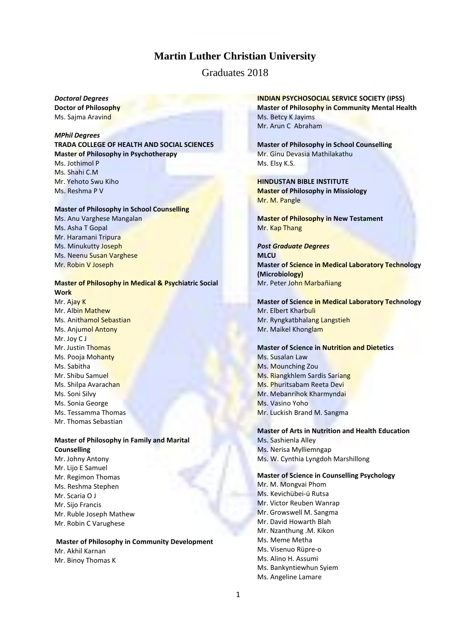# **Martin Luther Christian University**

Graduates 2018

*Doctoral Degrees* **Doctor of Philosophy** Ms. Sajma Aravind

*MPhil Degrees* **TRADA COLLEGE OF HEALTH AND SOCIAL SCIENCES Master of Philosophy in Psychotherapy** Ms. Jothimol P Ms. Shahi C.M. Mr. Yehoto Swu Kiho Ms. Reshma P V

#### **Master of Philosophy in School Counselling**

Ms. Anu Varghese Mangalan Ms. Asha T Gopal Mr. Haramani Tripura Ms. Minukutty Joseph Ms. Neenu Susan Varghese Mr. Robin V Joseph

# **Master of Philosophy in Medical & Psychiatric Social Work** Mr. Ajay K

Mr. Albin Mathew Ms. Anithamol Sebastian Ms. Anjumol Antony Mr. Joy C J Mr. Justin Thomas Ms. Pooja Mohanty Ms. Sabitha Mr. Shibu Samuel Ms. Shilpa Avarachan Ms. Soni Silvy Ms. Sonia George Ms. Tessamma Thomas Mr. Thomas Sebastian

#### **Master of Philosophy in Family and Marital Counselling**

Mr. Johny Antony Mr. Lijo E Samuel Mr. Regimon Thomas Ms. Reshma Stephen Mr. Scaria O J Mr. Sijo Francis Mr. Ruble Joseph Mathew Mr. Robin C Varughese

#### **Master of Philosophy in Community Development**

Mr. Akhil Karnan Mr. Binoy Thomas K

## **INDIAN PSYCHOSOCIAL SERVICE SOCIETY (IPSS) Master of Philosophy in Community Mental Health** Ms. Betcy K Jayims Mr. Arun C Abraham

**Master of Philosophy in School Counselling**  Mr. Ginu Devasia Mathilakathu Ms. Elsy K.S.

**HINDUSTAN BIBLE INSTITUTE Master of Philosophy in Missiology** Mr. M. Pangle

**Master of Philosophy in New Testament** Mr. Kap Thang

*Post Graduate Degrees* **MLCU Master of Science in Medical Laboratory Technology (Microbiology)** Mr. Peter John Marbañiang

**Master of Science in Medical Laboratory Technology** Mr. Elbert Kharbuli Mr. Ryngkatbhalang Langstieh Mr. Maikel Khonglam

**Master of Science in Nutrition and Dietetics** Ms. Susalan Law Ms. Mounching Zou Ms. Riangkhlem Sardis Sariang Ms. Phuritsabam Reeta Devi Mr. Mebanrihok Kharmyndai Ms. Vasino Yoho Mr. Luckish Brand M. Sangma

#### **Master of Arts in Nutrition and Health Education**

Ms. Sashienla Alley Ms. Nerisa Mylliemngap Ms. W. Cynthia Lyngdoh Marshillong

### **Master of Science in Counselling Psychology**

Mr. M. Mongvai Phom Ms. Kevichübei-ü Rutsa Mr. Victor Reuben Wanrap Mr. Growswell M. Sangma Mr. David Howarth Blah Mr. Nzanthung .M. Kikon Ms. Meme Metha Ms. Visenuo Rüpre-o Ms. Alino H. Assumi Ms. Bankyntiewhun Syiem Ms. Angeline Lamare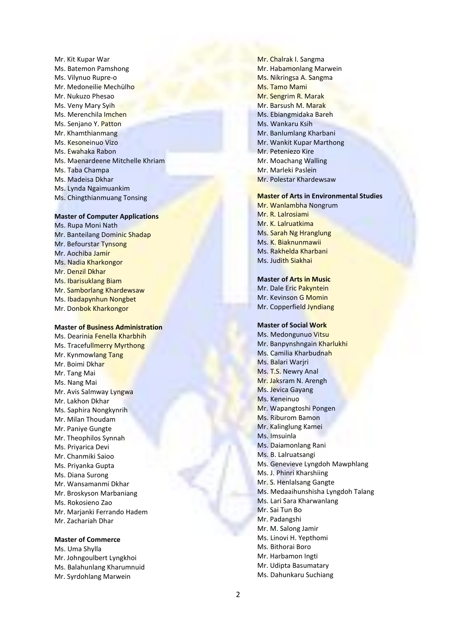Mr. Kit Kupar War Ms. Batemon Pamshong Ms. Vilynuo Rupre - o Mr. Medoneilie Mechülho Mr. Nukuzo Phesao Ms. Veny Mary Syih Ms. Merenchila Imchen Ms. Senjano Y. Patton Mr. Khamthianmang Ms. Kesoneinuo Vizo Ms. Ewahaka Rabon Ms. Maenardeene Mitchelle Khriam Ms. Taba Champa Ms. Madeisa Dkhar Ms. Lynda Ngaimuankim Ms. Chingthianmuang Tonsing

#### **Master of Computer Applications**

Ms. Rupa Moni Nath Mr. Banteilang Dominic Shadap Mr. Befourstar Tynsong Mr. Aochiba Jamir Ms. Nadia Kharkongor Mr. Denzil Dkhar Ms. Ibarisuklang Biam Mr. Samborlang Khardewsaw Ms. Ibadapynhun Nongbet Mr. Donbok Kharkongor

#### **Master of Business Administration**

Ms. Dearinia Fenella Kharbhih Ms. Tracefullmerry Myrthong Mr. Kynmowlang Tang Mr. Boimi Dkhar Mr. Tang Mai Ms. Nang Mai Mr. Avis Salmway Lyngwa Mr. Lakhon Dkhar Ms. Saphira Nongkynrih Mr. Milan Thoudam Mr. Paniye Gungte Mr. Theophilos Synnah Ms. Priyarica Devi Mr. Chanmiki Saioo Ms. Priyanka Gupta Ms. Diana Surong Mr. Wansamanmi Dkhar Mr. Broskyson Marbaniang Ms. Rokosieno Zao Mr. Marjanki Ferrando Hadem Mr. Zachariah Dhar

#### **Master of Commerce**

- Ms. Uma Shylla Mr. Johngoulbert Lyngkhoi Ms. Balahunlang Kharumnuid
- Mr. Syrdohlang Marwein

Mr. Chalrak I. Sangma Mr. Habamonlang Marwein Ms. Nikringsa A. Sangma Ms. Tamo Mami Mr. Sengrim R. Marak Mr. Barsush M. Marak Ms. Ebiangmidaka Bareh Ms. Wankaru Ksih Mr. Banlumlang Kharbani Mr. Wankit Kupar Marthong Mr. Peteniezo Kire Mr. Moachang Walling Mr. Marleki Paslein Mr. Polestar Khardewsaw

#### **Master of Arts in Environmental Studies**

Mr. Wanlambha Nongrum Mr. R. Lalrosiami Mr. K. Lalruatkima Ms. Sarah Ng Hranglung Ms. K. Biaknunmawii Ms. Rakhelda Kharbani Ms. Judith Siakhai

### **Master of Arts in Music**

Mr. Dale Eric Pakyntein Mr. Kevinson G Momin Mr. Copperfield Jyndiang

#### **Master of Social Work**

Ms. Medongunuo Vitsu Mr. Banpynshngain Kharlukhi Ms. Camilia Kharbudnah Ms. Balari Warjri Ms. T.S. Newry Anal Mr. Jaksram N. Arengh Ms. Jevica Gayang Ms. Keneinuo Mr. Wapangtoshi Pongen Ms. Riburom Bamon Mr. Kalinglung Kamei Ms. Imsuinla Ms. Daiamonlang Rani Ms. B. Lalruatsangi Ms. Genevieve Lyngdoh Mawphlang Ms. J. Phinri Kharshiing Mr. S. Henlalsang Gangte Ms. Medaaihunshisha Lyngdoh Talang Ms. Lari Sara Kharwanlang Mr. Sai Tun Bo Mr. Padangshi Mr. M. Salong Jamir Ms. Linovi H. Yepthomi Ms. Bithorai Boro Mr. Harbamon Ingti Mr. Udipta Basumatary Ms. Dahunkaru Suchiang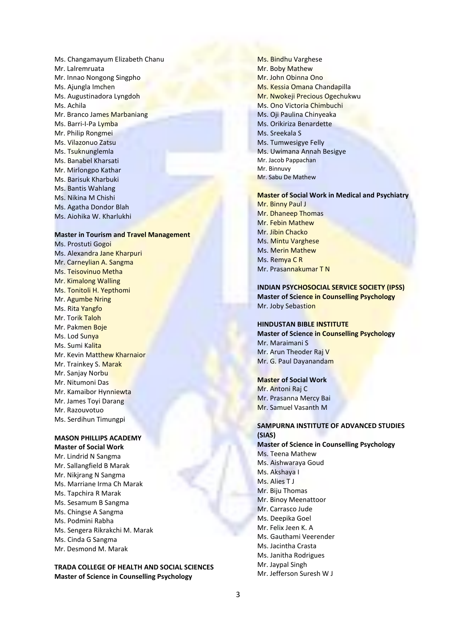Ms. Changamayum Elizabeth Chanu Mr. Lalremruata Mr. Innao Nongong Singpho Ms. Ajungla Imchen Ms. Augustinadora Lyngdoh Ms. Achila Mr. Branco James Marbaniang Ms. Barri-I-Pa Lymba Mr. Philip Rongmei Ms. Vilazonuo Zatsu Ms. Tsuknunglemla Ms. Banabel Kharsati Mr. Mirlongpo Kathar Ms. Barisuk Kharbuki Ms. Bantis Wahlang Ms. Nikina M Chishi Ms. Agatha Dondor Blah Ms. Aiohika W. Kharlukhi

#### **Master in Tourism and Travel Management**

Ms. Prostuti Gogoi Ms. Alexandra Jane Kharpuri Mr. Carneylian A. Sangma Ms. Teisovinuo Metha Mr. Kimalong Walling Ms. Tonitoli H. Yepthomi Mr. Agumbe Nring Ms. Rita Yangfo Mr. Torik Taloh Mr. Pakmen Boje Ms. Lod Sunya Ms. Sumi Kalita Mr. Kevin Matthew Kharnaior Mr. Trainkey S. Marak Mr. Sanjay Norbu Mr. Nitumoni Das Mr. Kamaibor Hynniewta Mr. James Toyi Darang Mr. Razouvotuo Ms. Serdihun Timungpi

# **MASON PHILLIPS ACADEMY**

**Master of Social Work** Mr. Lindrid N Sangma Mr. Sallangfield B Marak Mr. Nikjrang N Sangma Ms. Marriane Irma Ch Marak Ms. Tapchira R Marak Ms. Sesamum B Sangma Ms. Chingse A Sangma Ms. Podmini Rabha Ms. Sengera Rikrakchi M. Marak Ms. Cinda G Sangma Mr. Desmond M. Marak

**TRADA COLLEGE OF HEALTH AND SOCIAL SCIENCES Master of Science in Counselling Psychology**

Ms. Bindhu Varghese Mr. Boby Mathew Mr. John Obinna Ono Ms. Kessia Omana Chandapilla Mr. Nwokeji Precious Ogechukwu Ms. Ono Victoria Chimbuchi Ms. Oji Paulina Chinyeaka Ms. Orikiriza Benardette Ms. Sreekala S Ms. Tumwesigye Felly Ms. Uwimana Annah Besigye Mr. Jacob Pappachan Mr. Binnuw Mr. Sabu De Mathew

### **Master of Social Work in Medical and Psychiatry**

Mr. Binny Paul J Mr. Dhaneep Thomas Mr. Febin Mathew Mr. Jibin Chacko Ms. Mintu Varghese Ms. Merin Mathew Ms. Remya C R Mr. Prasannakumar T N

## **INDIAN PSYCHOSOCIAL SERVICE SOCIETY (IPSS) Master of Science in Counselling Psychology** Mr. Joby Sebastion

#### **HINDUSTAN BIBLE INSTITUTE**

**Master of Science in Counselling Psychology** Mr. Maraimani S Mr. Arun Theoder Raj V Mr. G. Paul Dayanandam

#### **Master of Social Work**

Mr. Antoni Raj C Mr. Prasanna Mercy Bai Mr. Samuel Vasanth M

# **SAMPURNA INSTITUTE OF ADVANCED STUDIES (SIAS)**

**Master of Science in Counselling Psychology** Ms. Teena Mathew Ms. Aishwaraya Goud Ms. Akshaya I Ms. Alies T J Mr. Biju Thomas Mr. Binoy Meenattoor Mr. Carrasco Jude Ms. Deepika Goel Mr. Felix Jeen K. A Ms. Gauthami Veerender Ms. Jacintha Crasta Ms. Janitha Rodrigues Mr. Jaypal Singh Mr. Jefferson Suresh W J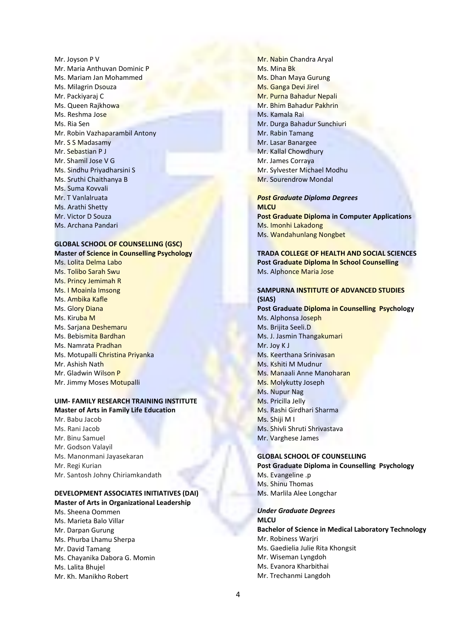Mr. Joyson P V Mr. Maria Anthuvan Dominic P Ms. Mariam Jan Mohammed Ms. Milagrin Dsouza Mr. Packiyaraj C Ms. Queen Rajkhowa Ms. Reshma Jose Ms. Ria Sen Mr. Robin Vazhaparambil Antony Mr. S S Madasamy Mr. Sebastian P J Mr. Shamil Jose V G Ms. Sindhu Priyadharsini S Ms. Sruthi Chaithanya B Ms. Suma Kovvali Mr. T Vanlalruata Ms. Arathi Shetty Mr. Victor D Souza Ms. Archana Pandari

### **GLOBAL SCHOOL OF COUNSELLING (GSC) Master of Science in Counselling Psychology**

Ms. Lolita Delma Labo Ms. Tolibo Sarah Swu Ms. Princy Jemimah R Ms. I Moainla Imsong Ms. Ambika Kafle Ms. Glory Diana Ms. Kiruba M Ms. Sarjana Deshemaru Ms. Bebismita Bardhan Ms. Namrata Pradhan Ms. Motupalli Christina Priyanka Mr. Ashish Nath Mr. Gladwin Wilson P Mr. Jimmy Moses Motupalli

# **UIM- FAMILY RESEARCH TRAINING INSTITUTE**

# **Master of Arts in Family Life Education** Mr. Babu Jacob Ms. Rani Jacob Mr. Binu Samuel Mr. Godson Valayil Ms. Manonmani Jayasekaran Mr. Regi Kurian Mr. Santosh Johny Chiriamkandath

# **DEVELOPMENT ASSOCIATES INITIATIVES (DAI)**

- **Master of Arts in Organizational Leadership** Ms. Sheena Oommen Ms. Marieta Balo Villar Mr. Darpan Gurung Ms. Phurba Lhamu Sherpa Mr. David Tamang
- Ms. Chayanika Dabora G. Momin
- Ms. Lalita Bhujel
- Mr. Kh. Manikho Robert

Mr. Nabin Chandra Aryal Ms. Mina Bk Ms. Dhan Maya Gurung Ms. Ganga Devi Jirel Mr. Purna Bahadur Nepali Mr. Bhim Bahadur Pakhrin Ms. Kamala Rai Mr. Durga Bahadur Sunchiuri Mr. Rabin Tamang Mr. Lasar Banargee Mr. Kallal Chowdhury Mr. James Corraya Mr. Sylvester Michael Modhu Mr. Sourendrow Mondal

## *Post Graduate Diploma Degrees* **MLCU Post Graduate Diploma in Computer Applications** Ms. Imonhi Lakadong Ms. Wandahunlang Nongbet

**TRADA COLLEGE OF HEALTH AND SOCIAL SCIENCES Post Graduate Diploma In School Counselling** Ms. Alphonce Maria Jose

#### **SAMPURNA INSTITUTE OF ADVANCED STUDIES (SIAS)**

**Post Graduate Diploma in Counselling Psychology** Ms. Alphonsa Joseph Ms. Brijita Seeli.D Ms. J. Jasmin Thangakumari Mr. Joy K J Ms. Keerthana Srinivasan Ms. Kshiti M Mudnur Ms. Manaali Anne Manoharan Ms. Molykutty Joseph Ms. Nupur Nag Ms. Pricilla Jelly Ms. Rashi Girdhari Sharma Ms. Shiji M I Ms. Shivli Shruti Shrivastava Mr. Varghese James

### **GLOBAL SCHOOL OF COUNSELLING**

**Post Graduate Diploma in Counselling Psychology** Ms. Evangeline .p Ms. Shinu Thomas Ms. Marlila Alee Longchar

#### *Under Graduate Degrees* **MLCU**

**Bachelor of Science in Medical Laboratory Technology** Mr. Robiness Warjri Ms. Gaedielia Julie Rita Khongsit Mr. Wiseman Lyngdoh Ms. Evanora Kharbithai Mr. Trechanmi Langdoh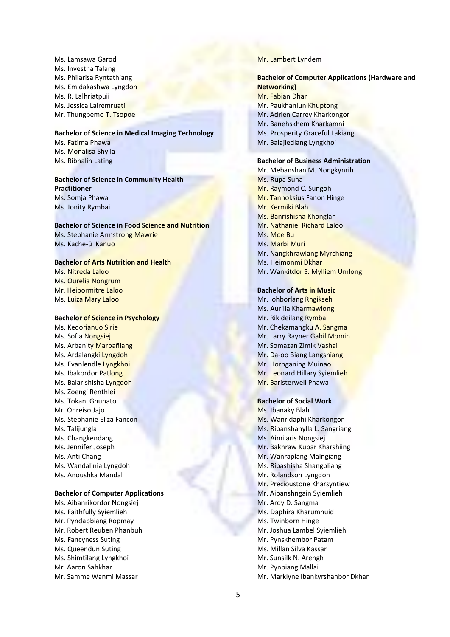Ms. Lamsawa Garod Ms. Investha Talang Ms. Philarisa Ryntathiang Ms. Emidakashwa Lyngdoh Ms. R. Lalhriatpuii Ms. Jessica Lalremruati Mr. Thungbemo T. Tsopoe

**Bachelor of Science in Medical Imaging Technology** Ms. Fatima Phawa Ms. Monalisa Shylla Ms. Ribhalin Lating

## **Bachelor of Science in Community Health Practitioner** Ms. Somja Phawa Ms. Jonity Rymbai

 **Bachelor of Science in Food Science and Nutrition**  Ms. Stephanie Armstrong Mawrie Ms. Kache-ü Kanuo

# **Bachelor of Arts Nutrition and Health**

Ms. Nitreda Laloo Ms. Ourelia Nongrum Mr. Heibormitre Laloo Ms. Luiza Mary Laloo

### **Bachelor of Science in Psychology**

Ms. Kedorianuo Sirie Ms. Sofia Nongsiej Ms. Arbanity Marbañiang Ms. Ardalangki Lyngdoh Ms. Evanlendle Lyngkhoi Ms. Ibakordor Patlong Ms. Balarishisha Lyngdoh Ms. Zoengi Renthlei Ms. Tokani Ghuhato Mr. Onreiso Jajo Ms. Stephanie Eliza Fancon Ms. Talijungla Ms. Changkendang Ms. Jennifer Joseph Ms. Anti Chang Ms. Wandalinia Lyngdoh Ms. Anoushka Mandal

# **Bachelor of Computer Applications**

Ms. Aibanrikordor Nongsiej Ms. Faithfully Syiemlieh Mr. Pyndapbiang Ropmay Mr. Robert Reuben Phanbuh Ms. Fancyness Suting Ms. Queendun Suting Ms. Shimtilang Lyngkhoi Mr. Aaron Sahkhar Mr. Samme Wanmi Massar

#### Mr. Lambert Lyndem

# **Bachelor of Computer Applications (Hardware and Networking)** Mr. Fabian Dhar Mr. Paukhanlun Khuptong Mr. Adrien Carrey Kharkongor Mr. Banehskhem Kharkamni Ms. Prosperity Graceful Lakiang

**Bachelor of Business Administration**

Mr. Balajiedlang Lyngkhoi

Mr. Mebanshan M. Nongkynrih Ms. Rupa Suna Mr. Raymond C. Sungoh Mr. Tanhoksius Fanon Hinge Mr. Kermiki Blah Ms. Banrishisha Khonglah Mr. Nathaniel Richard Laloo Ms. Moe Bu Ms. Marbi Muri Mr. Nangkhrawlang Myrchiang Ms. Heimonmi Dkhar Mr. Wankitdor S. Mylliem Umlong

#### **Bachelor of Arts in Music**

Mr. Iohborlang Rngikseh Ms. Aurilia Kharmawlong Mr. Rikideilang Rymbai Mr. Chekamangku A. Sangma Mr. Larry Rayner Gabil Momin Mr. Somazan Zimik Vashai Mr. Da-oo Biang Langshiang Mr. Hornganing Muinao Mr. Leonard Hillary Syiemlieh Mr. Baristerwell Phawa

### **Bachelor of Social Work**

Ms. Ibanaky Blah Ms. Wanridaphi Kharkongor Ms. Ribanshanylla L. Sangriang Ms. Aimilaris Nongsiej Mr. Bakhraw Kupar Kharshiing Mr. Wanraplang Malngiang Ms. Ribashisha Shangpliang Mr. Rolandson Lyngdoh Mr. Precioustone Kharsyntiew Mr. Aibanshngain Syiemlieh Mr. Ardy D. Sangma Ms. Daphira Kharumnuid Ms. Twinborn Hinge Mr. Joshua Lambel Syiemlieh Mr. Pynskhembor Patam Ms. Millan Silva Kassar Mr. Sunsilk N. Arengh Mr. Pynbiang Mallai Mr. Marklyne Ibankyrshanbor Dkhar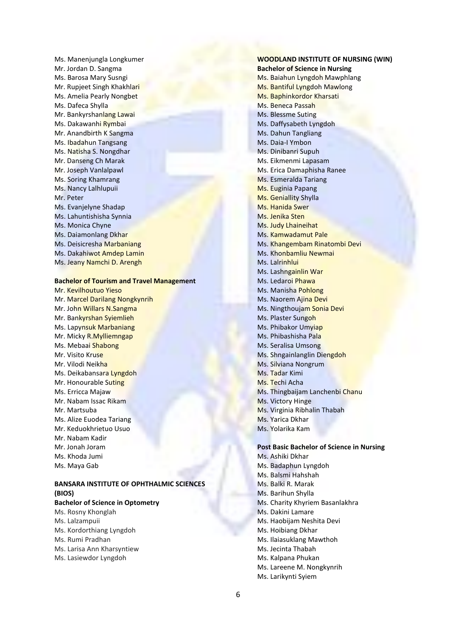Ms. Manenjungla Longkumer Mr. Jordan D. Sangma Ms. Barosa Mary Susngi Mr. Rupjeet Singh Khakhlari Ms. Amelia Pearly Nongbet Ms. Dafeca Shylla Mr. Bankyrshanlang Lawai Ms. Dakawanhi Rymbai Mr. Anandbirth K Sangma Ms. Ibadahun Tangsang Ms. Natisha S. Nongdhar Mr. Danseng Ch Marak Mr. Joseph Vanlalpawl Ms. Soring Khamrang Ms. Nancy Lalhlupuii Mr. Peter Ms. Evanjelyne Shadap Ms. Lahuntishisha Synnia Ms. Monica Chyne Ms. Daiamonlang Dkhar Ms. Deisicresha Marbaniang Ms. Dakahiwot Amdep Lamin Ms. Jeany Namchi D. Arengh

# **Bachelor of Tourism and Travel Management**

Mr. Kevilhoutuo Yieso Mr. Marcel Darilang Nongkynrih Mr. John Willars N.Sangma Mr. Bankyrshan Syiemlieh Ms. Lapynsuk Marbaniang Mr. Micky R.Mylliemngap Ms. Mebaai Shabong Mr. Visito Kruse Mr. Vilodi Neikha Ms. Deikabansara Lyngdoh Mr. Honourable Suting Ms. Erricca Majaw Mr. Nabam Issac Rikam Mr. Martsuba Ms. Alize Euodea Tariang Mr. Keduokhrietuo Usuo Mr. Nabam Kadir Mr. Jonah Joram Ms. Khoda Jumi Ms. Maya Gab

# **BANSARA INSTITUTE OF OPHTHALMIC SCIENCES (BIOS)**

# **Bachelor of Science in Optometry**

- Ms. Rosny Khonglah Ms. Lalzampuii Ms. Kordorthiang Lyngdoh Ms. Rumi Pradhan Ms. Larisa Ann Kharsyntiew
- Ms. Lasiewdor Lyngdoh

**WOODLAND INSTITUTE OF NURSING (WIN) Bachelor of Science in Nursing** Ms. Baiahun Lyngdoh Mawphlang Ms. Bantiful Lyngdoh Mawlong Ms. Baphinkordor Kharsati Ms. Beneca Passah Ms. Blessme Suting Ms. Daffysabeth Lyngdoh Ms. Dahun Tangliang Ms. Daia-I Ymbon Ms. Dinibanri Supuh Ms. Eikmenmi Lapasam Ms. Erica Damaphisha Ranee Ms. Esmeralda Tariang Ms. Euginia Papang Ms. Geniallity Shylla Ms. Hanida Swer Ms. Jenika Sten Ms. Judy Lhaineihat Ms. Kamwadamut Pale Ms. Khangembam Rinatombi Devi Ms. Khonbamliu Newmai Ms. Lalrinhlui Ms. Lashngainlin War Ms. Ledaroi Phawa Ms. Manisha Pohlong Ms. Naorem Ajina Devi Ms. Ningthoujam Sonia Devi Ms. Plaster Sungoh Ms. Phibakor Umyiap Ms. Phibashisha Pala Ms. Seralisa Umsong Ms. Shngainlanglin Diengdoh Ms. Silviana Nongrum Ms. Tadar Kimi Ms. Techi Acha Ms. Thingbaijam Lanchenbi Chanu Ms. Victory Hinge Ms. Virginia Ribhalin Thabah Ms. Yarica Dkhar Ms. Yolarika Kam

# **Post Basic Bachelor of Science in Nursing**

- Ms. Ashiki Dkhar Ms. Badaphun Lyngdoh Ms. Balsmi Hahshah Ms. Balki R. Marak Ms. Barihun Shylla Ms. Charity Khyriem Basanlakhra Ms. Dakini Lamare Ms. Haobijam Neshita Devi Ms. Hoibiang Dkhar Ms. Ilaiasuklang Mawthoh Ms. Jecinta Thabah Ms. Kalpana Phukan Ms. Lareene M. Nongkynrih
- Ms. Larikynti Syiem